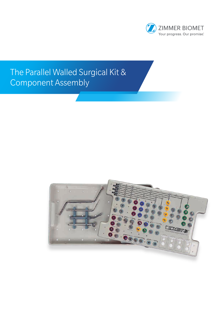

# The Parallel Walled Surgical Kit & Component Assembly

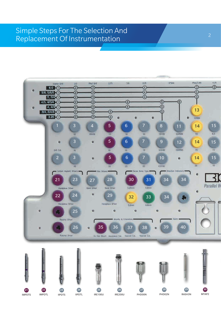### Simple Steps For The Selection And Replacement Of Instrumentation

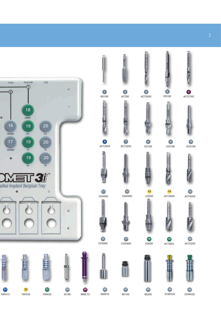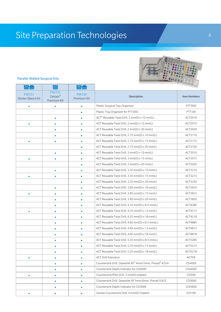# Site Preparation Technologies



#### Parallel Walled Surgical Kits

|                               | ப                                 |                       |                                                          |                     |
|-------------------------------|-----------------------------------|-----------------------|----------------------------------------------------------|---------------------|
| PSKT01<br>Starter (Basic) Kit | PSKT35<br>Certain®<br>Premium Kit | PSKT40<br>Premium Kit | Description                                              | <b>Item Numbers</b> |
| $\bullet$                     | $\bullet$                         | $\bullet$             | Plastic Surgical Tray Organizer                          | <b>PTT3001</b>      |
|                               |                                   | $\bullet$             | Plastic Tray Organizer for PTT300I                       | PTT100              |
|                               | ٠                                 | $\bullet$             | ACT® Reusable Twist Drill, 2 mm(D) x 10 mm(L)            | ACT2010             |
| $\bullet$                     |                                   | $\bullet$             | ACT Reusable Twist Drill, 2 mm(D) x 15 mm(L)             | ACT2015             |
|                               | ٠                                 | $\bullet$             | ACT Reusable Twist Drill, 2 mm(D) x 20 mm(L)             | ACT2020             |
|                               |                                   | $\bullet$             | ACT Reusable Twist Drill, 2.75 mm(D) x 10 mm(L)          | ACT2710             |
| $\bullet$                     | ٠                                 | $\bullet$             | ACT Reusable Twist Drill, 2.75 mm(D) x 15 mm(L)          | ACT2715             |
|                               |                                   | $\bullet$             | ACT Reusable Twist Drill, 2.75 mm(D) x 20 mm(L)          | ACT2720             |
|                               | $\bullet$                         | $\bullet$             | ACT Reusable Twist Drill, 3 mm(D) x 10 mm(L)             | ACT3010             |
| $\bullet$                     |                                   | $\bullet$             | ACT Reusable Twist Drill, 3 mm(D) x 15 mm(L)             | ACT3015             |
|                               |                                   | $\bullet$             | ACT Reusable Twist Drill, 3 mm(D) x 20 mm(L)             | ACT3020             |
|                               | $\bullet$                         | $\bullet$             | ACT Reusable Twist Drill, 3.25 mm(D) x 10 mm(L)          | ACT3210             |
| $\bullet$                     |                                   | $\bullet$             | ACT Reusable Twist Drill, 3.25 mm(D) x 15 mm(L)          | ACT3215             |
|                               |                                   | $\bullet$             | ACT Reusable Twist Drill, 3.25 mm(D) x 20 mm(L)          | ACT3220             |
|                               | $\bullet$                         | $\bullet$             | ACT Reusable Twist Drill, 3.85 mm(D) x 10 mm(L)          | ACT3810             |
| $\bullet$                     |                                   | $\bullet$             | ACT Reusable Twist Drill, 3.85 mm(D) x 15 mm(L)          | ACT3815             |
|                               | ٠                                 | $\bullet$             | ACT Reusable Twist Drill, 3.85 mm(D) x 20 mm(L)          | ACT3820             |
|                               | $\bullet$                         | $\bullet$             | ACT Reusable Twist Drill, 4.25 mm(D) x 8.5 mm(L)         | ACT4285             |
| $\bullet$                     |                                   | $\bullet$             | ACT Reusable Twist Drill, 4.25 mm(D) x 13 mm(L)          | ACT4213             |
|                               | ٠                                 | $\bullet$             | ACT Reusable Twist Drill, 4.25 mm(D) x 18 mm(L)          | ACT4218             |
|                               |                                   | $\bullet$             | ACT Reusable Twist Drill, 4.85 mm(D) x 8.5 mm(L)         | ACT4885             |
|                               | $\bullet$                         | $\bullet$             | ACT Reusable Twist Drill, 4.85 mm(D) x 13 mm(L)          | ACT4813             |
|                               | $\bullet$                         | $\bullet$             | ACT Reusable Twist Drill, 4.85 mm(D) x 18 mm(L)          | ACT4818             |
|                               | ٠                                 | $\bullet$             | ACT Reusable Twist Drill, 5.25 mm(D) x 8.5 mm(L)         | ACT5285             |
|                               |                                   | $\bullet$             | ACT Reusable Twist Drill, 5.25 mm(D) x 13 mm(L)          | ACT5213             |
|                               | $\bullet$                         | 0                     | ACT Reusable Twist Drill, 5.25 mm(D) x 18 mm(L)          | ACT5218             |
| $\bullet$                     | $\bullet$                         | $\bullet$             | <b>ACT Drill Extension</b>                               | ACTDE               |
|                               | $\bullet$                         | $\bullet$             | Countersink Drill, Osseotite XP® 4mm/5mm, Prevail® 4/5/4 | CD4500              |
|                               | $\bullet$                         | $\bullet$             | Countersink Depth Indicator for CD4500                   | CDI4500             |
| $\bullet$                     | $\bullet$                         | $\bullet$             | Countersink/Pilot Drill, 5 mm(D) Implant                 | CD500               |
|                               | $\bullet$                         | $\bullet$             | Countersink Drill, Osseotite XP 5mm/6mm, Prevail 5/6/5   | CD5600              |
|                               |                                   | $\bullet$             | Countersink Depth Indicator for CD5600                   | CDI5600             |
| $\bullet$                     | $\bullet$                         | $\bullet$             | Certain Countersink Drill, 4 mm(D) Implant               | <b>ICD100</b>       |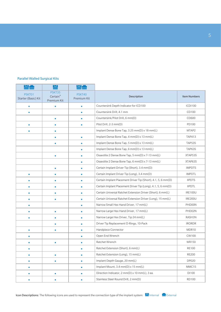#### Parallel Walled Surgical Kits

|                               | е                                 |                       |                                                               |                     |
|-------------------------------|-----------------------------------|-----------------------|---------------------------------------------------------------|---------------------|
| PSKT01<br>Starter (Basic) Kit | PSKT35<br>Certain®<br>Premium Kit | PSKT40<br>Premium Kit | Description                                                   | <b>Item Numbers</b> |
| $\bullet$                     | $\bullet$                         | $\bullet$             | Countersink Depth Indicator for ICD100                        | <b>ICDI100</b>      |
| $\bullet$                     |                                   | $\bullet$             | Countersink Drill, 4.1 mm                                     | CD100               |
|                               | $\bullet$                         | $\bullet$             | Countersink/Pilot Drill, 6 mm(D)                              | CD600               |
| $\bullet$                     |                                   | $\bullet$             | Pilot Drill, 2-3 mm(D)                                        | PD100               |
| ٠                             |                                   |                       | Implant Dense Bone Tap, 3.25 mm(D) x 18 mm(L)                 | MTAP2               |
|                               | $\bullet$                         | $\bullet$             | Implant Dense Bone Tap, 4 mm(D) x 13 mm(L)                    | <b>TAP413</b>       |
|                               |                                   | $\bullet$             | Implant Dense Bone Tap, 5 mm(D) x 13 mm(L)                    | TAP53S              |
|                               |                                   | $\bullet$             | Implant Dense Bone Tap, 6 mm(D) x 13 mm(L)                    | TAP63S              |
|                               | $\bullet$                         | $\bullet$             | Osseotite 2 Dense Bone Tap, 5 mm(D) x 7-13 mm(L)              | XTAP53S             |
|                               |                                   | $\bullet$             | Osseotite 2 Dense Bone Tap, 6 mm(D) x 7-13 mm(L)              | XTAP63S             |
|                               |                                   |                       | Certain Implant Driver Tip (Short), 3.4 mm(D)                 | <b>IMPDTS</b>       |
| $\bullet$                     |                                   | ٠                     | Certain Implant Driver Tip (Long), 3.4 mm(D)                  | <b>IMPDTL</b>       |
| $\bullet$                     | $\bullet$                         | $\bullet$             | Certain Implant Placement Driver Tip (Short), 4.1, 5, 6 mm(D) | <b>IIPDTS</b>       |
| $\bullet$                     | $\bullet$                         | $\bullet$             | Certain Implant Placement Driver Tip (Long), 4.1, 5, 6 mm(D)  | <b>IIPDTL</b>       |
| ٠                             |                                   | $\bullet$             | Certain Universal Ratchet Extension Driver (Short), 6 mm(L)   | <b>IRE100U</b>      |
| $\bullet$                     |                                   | ٠                     | Certain Universal Ratchet Extension Driver (Long), 15 mm(L)   | <b>IRE200U</b>      |
| ٠                             |                                   | ٠                     | Narrow Small Hex Hand Driver, 17 mm(L)                        | PHD00N              |
| $\bullet$                     |                                   | $\bullet$             | Narrow Large Hex Hand Driver, 17 mm(L)                        | PHD02N              |
| $\bullet$                     | $\bullet$                         | $\bullet$             | Narrow Large Hex Driver, Tip 24 mm(L)                         | RASH3N              |
|                               |                                   | $\bullet$             | Driver Tip Replacement O-Rings, 10-Pack                       | <b>IRORDR</b>       |
| $\bullet$                     |                                   | $\bullet$             | Handpiece Connector                                           | MDR10               |
|                               |                                   | $\bullet$             | Open End Wrench                                               | CW100               |
| $\bullet$                     | $\bullet$                         | ٠                     | Ratchet Wrench                                                | <b>WR150</b>        |
|                               |                                   | ٠                     | Ratchet Extension (Short), 6 mm(L)                            | <b>RE100</b>        |
| ۰                             | $\bullet$                         | $\bullet$             | Ratchet Extension (Long), 15 mm(L)                            | <b>RE200</b>        |
| $\bullet$                     | $\bullet$                         | $\bullet$             | Implant Depth Gauge, 20 mm(L)                                 | DP020               |
| $\bullet$                     |                                   | $\bullet$             | Implant Mount, 3.4 mm(D) x 15 mm(L)                           | MMC15               |
| $\bullet$                     | $\bullet$                         | $\bullet$             | Direction Indicator, 2 mm(D) x 10 mm(L), 3 ea.                | D1100               |
| $\bullet$                     | $\bullet$                         | ٠                     | Stainless Steel Round Drill, 2 mm(D)                          | <b>RD100</b>        |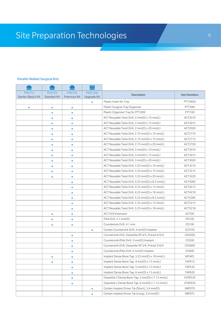#### Parallel Walled Surgical Kits

|                     |                    |             | Р           |                                                    |                     |
|---------------------|--------------------|-------------|-------------|----------------------------------------------------|---------------------|
| PSKT10              | PSKT <sub>20</sub> | PSKT30      | PSKT30U     | Description                                        | <b>Item Numbers</b> |
| Starter (Basic) Kit | Standart Kit       | Premium Kit | Upgrade Kit |                                                    |                     |
|                     |                    |             |             | Plastic Insert for Tray                            | PTT300UI            |
| $\bullet$           | $\bullet$          | $\bullet$   |             | Plastic Surgical Tray Organizer                    | PTT300I             |
|                     | ٠                  | $\bullet$   |             | Plastic Organizer Tray for PTT300I                 | PTT100              |
|                     |                    |             |             | ACT Reusable Twist Drill, 2 mm(D) x 10 mm(L)       | ACT2010             |
|                     | $\bullet$          | $\bullet$   |             | ACT Reusable Twist Drill, 2 mm(D) x 15 mm(L)       | ACT2015             |
|                     | $\bullet$          | $\bullet$   |             | ACT Reusable Twist Drill, 2 mm(D) x 20 mm(L)       | ACT2020             |
|                     | $\bullet$          | $\bullet$   |             | ACT Reusable Twist Drill, 2.75 mm(D) x 10 mm(L)    | ACT2710             |
|                     | ٠                  | $\bullet$   |             | ACT Reusable Twist Drill, 2.75 mm(D) x 15 mm(L)    | ACT2715             |
|                     |                    |             |             | ACT Reusable Twist Drill, 2.75 mm(D) x 20 mm(L)    | ACT2720             |
|                     | $\bullet$          | $\bullet$   |             | ACT Reusable Twist Drill, 3 mm(D) x 10 mm(L)       | ACT3010             |
|                     | $\bullet$          | $\bullet$   |             | ACT Reusable Twist Drill, 3 mm(D) x 15 mm(L)       | ACT3015             |
|                     | $\bullet$          | $\bullet$   |             | ACT Reusable Twist Drill, 3 mm(D) x 20 mm(L)       | ACT3020             |
|                     | ٠                  | $\bullet$   |             | ACT Reusable Twist Drill, 3.25 mm(D) x 10 mm(L)    | ACT3210             |
|                     |                    |             |             | ACT Reusable Twist Drill, 3.25 mm(D) x 15 mm(L)    | ACT3215             |
|                     | $\bullet$          | $\bullet$   |             | ACT Reusable Twist Drill, 3.25 mm(D) x 20 mm(L)    | ACT3220             |
|                     |                    | $\bullet$   |             | ACT Reusable Twist Drill, 4.25 mm(D) x 8.5 mm(L)   | ACT4285             |
|                     |                    | $\bullet$   |             | ACT Reusable Twist Drill, 4.25 mm(D) x 13 mm(L)    | ACT4213             |
|                     |                    | $\bullet$   |             | ACT Reusable Twist Drill, 4.25 mm(D) x 18 mm(L)    | ACT4218             |
|                     |                    |             |             | ACT Reusable Twist Drill, 5.25 mm(D) x 8.5 mm(L)   | ACT5285             |
|                     |                    | $\bullet$   |             | ACT Reusable Twist Drill, 5.25 mm(D) x 13 mm(L)    | ACT5213             |
|                     |                    | $\bullet$   |             | ACT Reusable Twist Drill, 5.25 mm(D) x 18 mm(L)    | ACT5218             |
|                     | $\bullet$          | $\bullet$   |             | <b>ACT Drill Extension</b>                         | <b>ACTDE</b>        |
|                     | ٠                  | $\bullet$   |             | Pilot Drill, 2-3 mm(D)                             | PD100               |
|                     |                    | $\bullet$   |             | Countersink Drill, 4.1 mm                          | CD100               |
|                     |                    |             | $\bullet$   | Certain Countersink Drill, 4 mm(D) Implant         | <b>ICD100</b>       |
|                     |                    | $\bullet$   |             | Countersink Drill, Osseotite XP 4/5, Prevail 4/5/4 | CD4500              |
|                     |                    | $\bullet$   |             | Countersink/Pilot Drill, 5 mm(D) Implant           | CD500               |
|                     |                    | ٠           |             | Countersink Drill, Osseotite XP 5/6, Prevail 5/6/5 | CD5600              |
|                     |                    | $\bullet$   |             | Countersink/Pilot Drill, 6 mm(D) Implant           | CD600               |
|                     | $\bullet$          | $\bullet$   |             | Implant Dense Bone Tap, 3.25 mm(D) x 18 mm(L)      | MTAP2               |
|                     | $\bullet$          | $\bullet$   |             | Implant Dense Bone Tap, 4 mm(D) x 13 mm(L)         | <b>TAP413</b>       |
|                     |                    | $\bullet$   |             | Implant Dense Bone Tap, 5 mm(D) x 13 mm(L)         | TAP53S              |
|                     |                    | $\bullet$   |             | Implant Dense Bone Tap, 6 mm(D) x 13 mm(L)         | TAP63S              |
|                     |                    | $\bullet$   |             | Osseotite 2 Dense Bone Tap, 5 mm(D) x 7-13 mm(L)   | XTAP53S             |
|                     |                    | $\bullet$   |             | Osseotite 2 Dense Bone Tap, 6 mm(D) x 7-13 mm(L)   | XTAP63S             |
|                     |                    |             | $\bullet$   | Certain Implant Driver Tip (Short), 3.4 mm(D)      | <b>IMPDTS</b>       |
|                     |                    |             | $\bullet$   | Certain Implant Driver Tip (Long), 3.4 mm(D)       | <b>IMPDTL</b>       |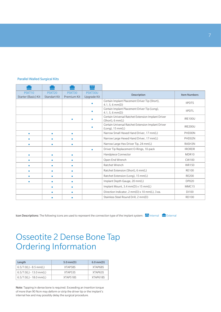#### Parallel Walled Surgical Kits

|                               |                                    |                       | ш                      |                                                                              |                     |
|-------------------------------|------------------------------------|-----------------------|------------------------|------------------------------------------------------------------------------|---------------------|
| PSKT10<br>Starter (Basic) Kit | PSKT <sub>20</sub><br>Standart Kit | PSKT30<br>Premium Kit | PSKT30U<br>Upgrade Kit | Description                                                                  | <b>Item Numbers</b> |
|                               |                                    |                       |                        | Certain Implant Placement Driver Tip (Short),<br>$4.1, 5, 6$ mm(D)           | <b>IIPDTS</b>       |
|                               |                                    |                       |                        | Certain Implant Placement Driver Tip (Long),<br>$4.1, 5, 6$ mm(D)            | <b>IIPDTL</b>       |
|                               |                                    | ٠                     |                        | Certain Universal Ratchet Extension Implant Driver<br>(Short), 6 mm(L)       | <b>IRE100U</b>      |
|                               |                                    |                       |                        | Certain Universal Ratchet Extension Implant Driver<br>$(Long)$ , 15 mm $(L)$ | <b>IRE200U</b>      |
| ٠                             | ۰                                  | $\bullet$             |                        | Narrow Small Hexed Hand Driver, 17 mm(L)                                     | PHD00N              |
| ٠                             | $\bullet$                          | ۰                     |                        | Narrow Large Hexed Hand Driver, 17 mm(L)                                     | PHD02N              |
| ٠                             | ۰                                  | $\bullet$             |                        | Narrow Large Hex Driver Tip, 24 mm(L)                                        | RASH3N              |
|                               |                                    |                       | ۰                      | Driver Tip Replacement O-Rings, 10-pack                                      | <b>IRORDR</b>       |
| ٠                             | ۰                                  | ٠                     |                        | Handpiece Connector                                                          | MDR10               |
|                               | ۰                                  |                       |                        | Open End Wrench                                                              | <b>CW100</b>        |
| ۰                             | ۰                                  | $\bullet$             |                        | Ratchet Wrench                                                               | <b>WR150</b>        |
| ٠                             | $\bullet$                          | ۰                     |                        | Ratchet Extension (Short), 6 mm(L)                                           | <b>RE100</b>        |
| ٠                             | ۰                                  | $\bullet$             |                        | Ratchet Extension (Long), 15 mm(L)                                           | <b>RE200</b>        |
| ٠                             | $\bullet$                          | ٠                     |                        | Implant Depth Gauge, 20 mm(L)                                                | <b>DP020</b>        |
|                               | $\bullet$                          | $\bullet$             |                        | Implant Mount, $3.4$ mm(D) x $15$ mm(L)                                      | MMC15               |
|                               | ۰                                  | ۰                     |                        | Direction Indicator, 2 mm(D) x 10 mm(L), 3 ea.                               | D1100               |
|                               |                                    |                       |                        | Stainless Steel Round Drill, 2 mm(D)                                         | <b>RD100</b>        |

Icon Descriptions: The following icons are used to represent the connection type of the implant system: Internal External

## Osseotite 2 Dense Bone Tap Ordering Information

| Length                    | $5.0 \text{ mm}(D)$ | $6.0 \text{ mm}(D)$ |
|---------------------------|---------------------|---------------------|
| $6.5/7.0(L) - 8.5$ mm(L)  | XTAP58S             | XTAP68S             |
| $6.5/7.0(L) - 13.0$ mm(L) | XTAP53S             | XTAP63S             |
| $6.5/7.0(L) - 18.0$ mm(L) | XTAP518S            | XTAP618S            |

Note: Tapping in dense bone is required. Exceeding an insertion torque of more than 90 Ncm may deform or strip the driver tip or the implant's internal hex and may possibly delay the surgical procedure.